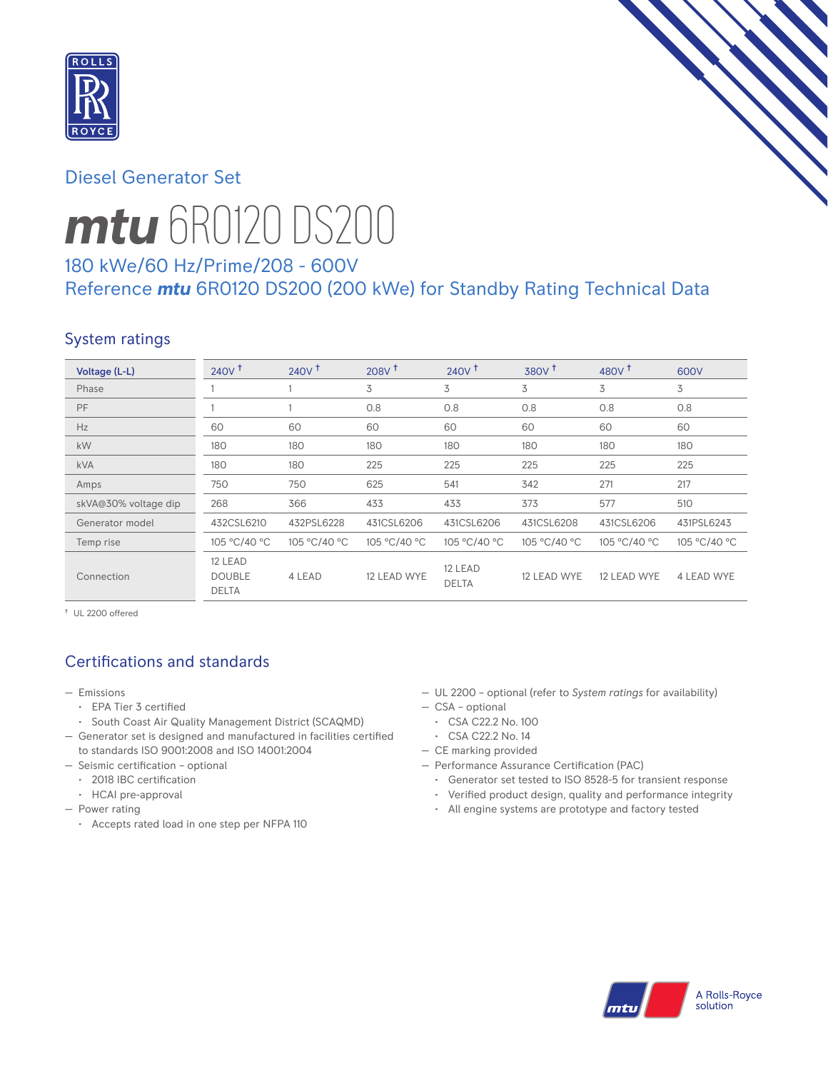

# Diesel Generator Set



# *mtu* 6R0120 DS200

# 180 kWe/60 Hz/Prime/208 - 600V Reference *mtu* 6R0120 DS200 (200 kWe) for Standby Rating Technical Data

# System ratings

| Voltage (L-L)        | $240V$ <sup>+</sup>                      | 240V <sup>†</sup> | 208V <sup>†</sup> | $240V$ <sup>+</sup>     | 380V <sup>†</sup> | 480 $V†$     | 600V         |
|----------------------|------------------------------------------|-------------------|-------------------|-------------------------|-------------------|--------------|--------------|
| Phase                |                                          |                   | 3                 | 3                       | 3                 | 3            | 3            |
| PF                   |                                          |                   | 0.8               | 0.8                     | 0.8               | 0.8          | 0.8          |
| Hz                   | 60                                       | 60                | 60                | 60                      | 60                | 60           | 60           |
| kW                   | 180                                      | 180               | 180               | 180                     | 180               | 180          | 180          |
| <b>kVA</b>           | 180                                      | 180               | 225               | 225                     | 225               | 225          | 225          |
| Amps                 | 750                                      | 750               | 625               | 541                     | 342               | 271          | 217          |
| skVA@30% voltage dip | 268                                      | 366               | 433               | 433                     | 373               | 577          | 510          |
| Generator model      | 432CSL6210                               | 432PSL6228        | 431CSL6206        | 431CSL6206              | 431CSL6208        | 431CSL6206   | 431PSL6243   |
| Temp rise            | 105 °C/40 °C                             | 105 °C/40 °C      | 105 °C/40 °C      | 105 °C/40 °C            | 105 °C/40 °C      | 105 °C/40 °C | 105 °C/40 °C |
| Connection           | 12 LEAD<br><b>DOUBLE</b><br><b>DELTA</b> | 4 LEAD            | 12 LEAD WYE       | 12 LEAD<br><b>DELTA</b> | 12 LEAD WYE       | 12 LEAD WYE  | 4 LEAD WYE   |

† UL 2200 offered

# Certifications and standards

- Emissions
	- EPA Tier 3 certified
	- South Coast Air Quality Management District (SCAQMD)
- Generator set is designed and manufactured in facilities certified to standards ISO 9001:2008 and ISO 14001:2004
- Seismic certification optional
	- 2018 IBC certification
	- HCAI pre-approval
- Power rating
	- Accepts rated load in one step per NFPA 110
- UL 2200 optional (refer to *System ratings* for availability)
- CSA optional
- CSA C22.2 No. 100
- CSA C22.2 No. 14
- CE marking provided
- Performance Assurance Certification (PAC)
	- Generator set tested to ISO 8528-5 for transient response
	- Verified product design, quality and performance integrity
	- All engine systems are prototype and factory tested

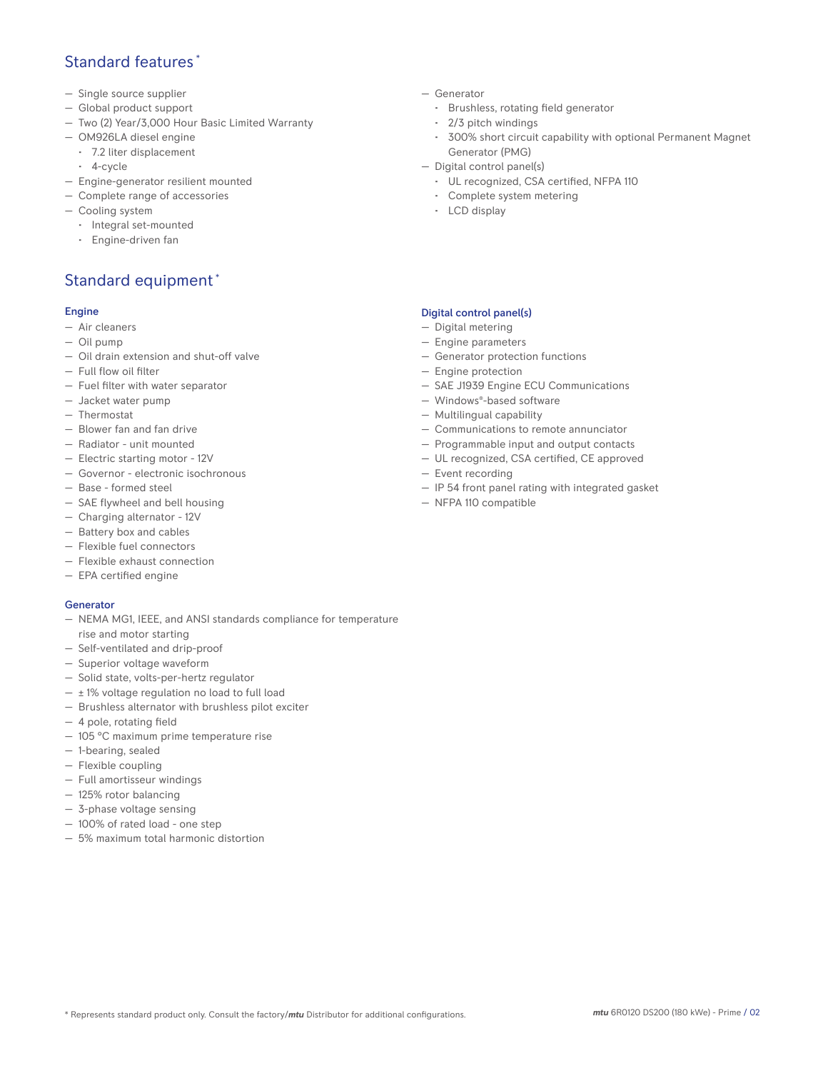## Standard features \*

- Single source supplier
- Global product support
- Two (2) Year/3,000 Hour Basic Limited Warranty
- OM926LA diesel engine
	- 7.2 liter displacement
	- 4-cycle
- Engine-generator resilient mounted
- Complete range of accessories
- Cooling system
	- Integral set-mounted
	- Engine-driven fan

# Standard equipment \*

#### Engine

- Air cleaners
- Oil pump
- Oil drain extension and shut-off valve
- Full flow oil filter
- Fuel filter with water separator
- Jacket water pump
- Thermostat
- Blower fan and fan drive
- Radiator unit mounted
- Electric starting motor 12V
- Governor electronic isochronous
- Base formed steel
- SAE flywheel and bell housing
- Charging alternator 12V
- Battery box and cables
- Flexible fuel connectors
- Flexible exhaust connection
- EPA certified engine

#### Generator

- NEMA MG1, IEEE, and ANSI standards compliance for temperature rise and motor starting
- Self-ventilated and drip-proof
- Superior voltage waveform
- Solid state, volts-per-hertz regulator
- $\pm$  1% voltage regulation no load to full load
- Brushless alternator with brushless pilot exciter
- 4 pole, rotating field
- 105 °C maximum prime temperature rise
- 1-bearing, sealed
- Flexible coupling
- Full amortisseur windings
- 125% rotor balancing
- 3-phase voltage sensing
- 100% of rated load one step
- 5% maximum total harmonic distortion
- Generator
	- Brushless, rotating field generator
	- 2/3 pitch windings
	- 300% short circuit capability with optional Permanent Magnet Generator (PMG)
- Digital control panel(s)
	- UL recognized, CSA certified, NFPA 110
	- Complete system metering
	- LCD display

#### Digital control panel(s)

- Digital metering
- Engine parameters
- Generator protection functions
- Engine protection
- SAE J1939 Engine ECU Communications
- Windows®-based software
- Multilingual capability
- Communications to remote annunciator
- Programmable input and output contacts
- UL recognized, CSA certified, CE approved
- Event recording
- IP 54 front panel rating with integrated gasket
- NFPA 110 compatible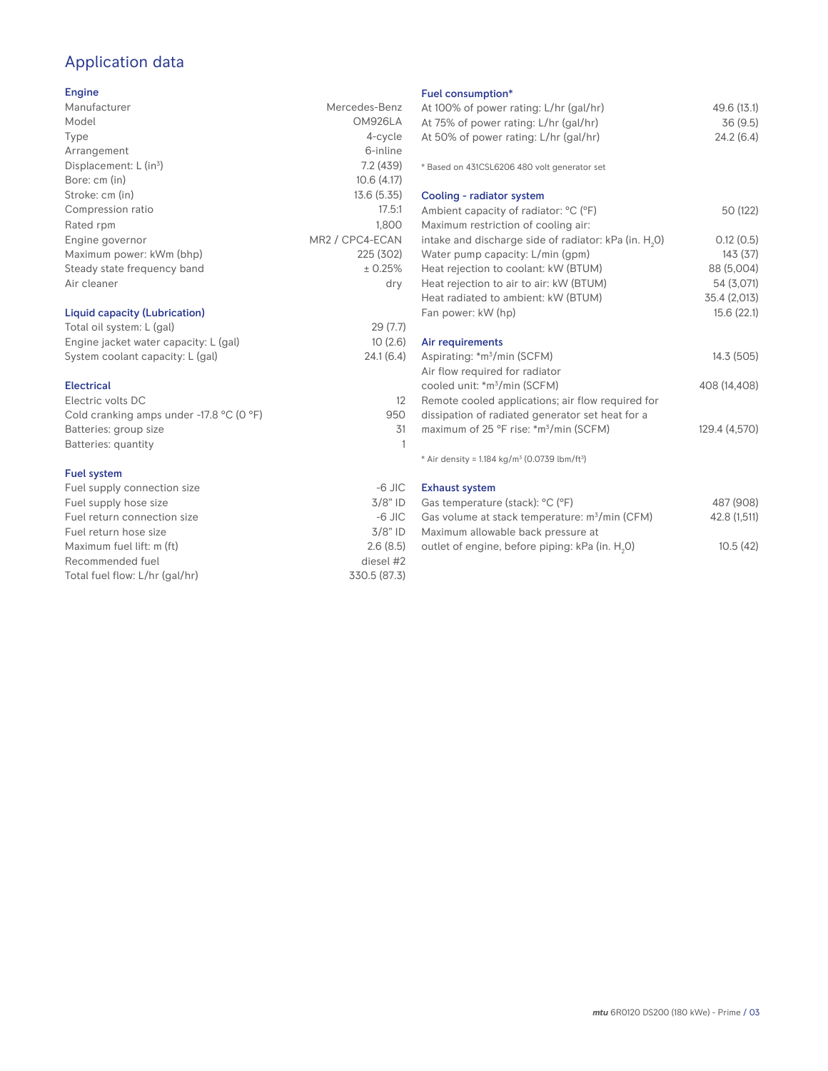# Application data

### Engine

| Manufacturer                       | Mercedes-Benz   |
|------------------------------------|-----------------|
| Model                              | OM926LA         |
| Type                               | 4-cycle         |
| Arrangement                        | 6-inline        |
| Displacement: L (in <sup>3</sup> ) | 7.2(439)        |
| Bore: cm (in)                      | 10.6(4.17)      |
| Stroke: cm (in)                    | 13.6 (5.35)     |
| Compression ratio                  | 17.5:1          |
| Rated rpm                          | 1.800           |
| Engine governor                    | MR2 / CPC4-ECAN |
| Maximum power: kWm (bhp)           | 225 (302)       |
| Steady state frequency band        | ± 0.25%         |
| Air cleaner                        | dry             |
|                                    |                 |

## Liquid capacity (Lubrication)

| Total oil system: L (gal)             | 29(7.7)   |
|---------------------------------------|-----------|
| Engine jacket water capacity: L (gal) | 10(2.6)   |
| System coolant capacity: L (gal)      | 24.1(6.4) |

#### Electrical

| Electric volts DC                                            |     |
|--------------------------------------------------------------|-----|
| Cold cranking amps under -17.8 $^{\circ}$ C (O $^{\circ}$ F) | 950 |
| Batteries: group size                                        | .31 |
| Batteries: quantity                                          |     |
|                                                              |     |

#### Fuel system

| $-6$ JIC     |
|--------------|
| $3/8"$ ID    |
| $-6$ JIC     |
| $3/8"$ ID    |
| 2.6(8.5)     |
| diesel #2    |
| 330.5 (87.3) |
|              |

## Fuel consumption\*

| Fuel consumption <sup>*</sup>                                         |               |
|-----------------------------------------------------------------------|---------------|
| At 100% of power rating: L/hr (gal/hr)                                | 49.6 (13.1)   |
| At 75% of power rating: L/hr (gal/hr)                                 | 36(9.5)       |
| At 50% of power rating: L/hr (gal/hr)                                 | 24.2(6.4)     |
|                                                                       |               |
| * Based on 431CSL6206 480 volt generator set                          |               |
| Cooling - radiator system                                             |               |
| Ambient capacity of radiator: °C (°F)                                 | 50 (122)      |
| Maximum restriction of cooling air:                                   |               |
| intake and discharge side of radiator: kPa (in. H <sub>2</sub> O)     | 0.12(0.5)     |
| Water pump capacity: L/min (gpm)                                      | 143(37)       |
| Heat rejection to coolant: kW (BTUM)                                  | 88 (5,004)    |
| Heat rejection to air to air: kW (BTUM)                               | 54 (3,071)    |
| Heat radiated to ambient: kW (BTUM)                                   | 35.4 (2,013)  |
|                                                                       |               |
| Fan power: kW (hp)                                                    | 15.6(22.1)    |
| Air requirements                                                      |               |
| Aspirating: *m <sup>3</sup> /min (SCFM)                               | 14.3 (505)    |
| Air flow required for radiator                                        |               |
| cooled unit: *m <sup>3</sup> /min (SCFM)                              | 408 (14,408)  |
| Remote cooled applications; air flow required for                     |               |
|                                                                       |               |
| dissipation of radiated generator set heat for a                      |               |
| maximum of 25 °F rise: *m <sup>3</sup> /min (SCFM)                    | 129.4 (4,570) |
| * Air density = 1.184 kg/m <sup>3</sup> (0.0739 lbm/ft <sup>3</sup> ) |               |
| <b>Exhaust system</b>                                                 |               |
| Gas temperature (stack) <sup>, o</sup> C ( $^{\circ}$ F)              | 487 (908)     |

| Gas temperature (stack): °C (°F)                            | 487 (908)    |
|-------------------------------------------------------------|--------------|
| Gas volume at stack temperature: m <sup>3</sup> /min (CFM)  | 42.8 (1,511) |
| Maximum allowable back pressure at                          |              |
| outlet of engine, before piping: kPa (in. H <sub>2</sub> O) | 10.5(42)     |
|                                                             |              |